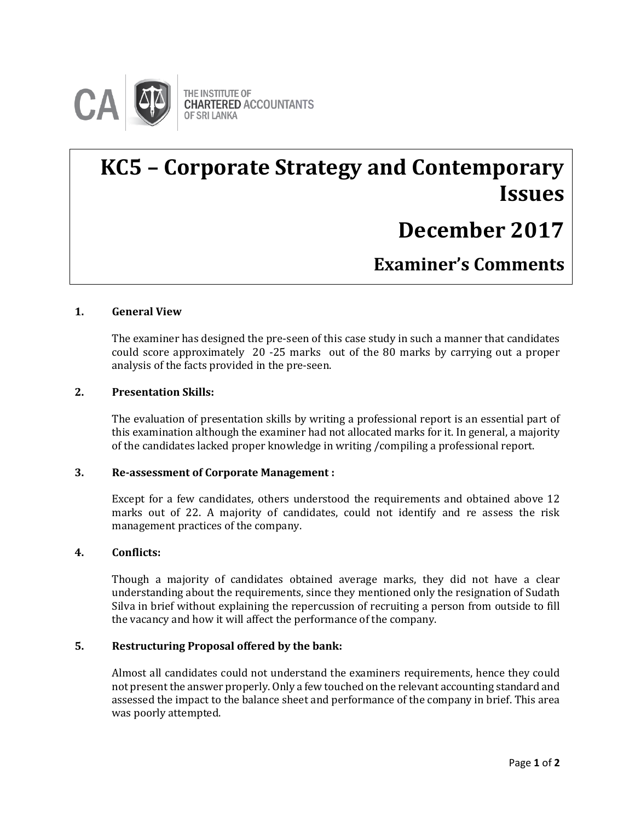

# **KC5 – Corporate Strategy and Contemporary Issues**

# **December 2017**

**Examiner's Comments**

#### **1. General View**

 $\overline{a}$ 

The examiner has designed the pre-seen of this case study in such a manner that candidates could score approximately 20 -25 marks out of the 80 marks by carrying out a proper analysis of the facts provided in the pre-seen. **Examiner's Comments**

#### **2. Presentation Skills:**

The evaluation of presentation skills by writing a professional report is an essential part of this examination although the examiner had not allocated marks for it. In general, a majority of the candidates lacked proper knowledge in writing /compiling a professional report.

#### **3. Re-assessment of Corporate Management :**

Except for a few candidates, others understood the requirements and obtained above 12 marks out of 22. A majority of candidates, could not identify and re assess the risk management practices of the company.

#### **4. Conflicts:**

Though a majority of candidates obtained average marks, they did not have a clear understanding about the requirements, since they mentioned only the resignation of Sudath Silva in brief without explaining the repercussion of recruiting a person from outside to fill the vacancy and how it will affect the performance of the company.

#### **5. Restructuring Proposal offered by the bank:**

Almost all candidates could not understand the examiners requirements, hence they could not present the answer properly. Only a few touched on the relevant accounting standard and assessed the impact to the balance sheet and performance of the company in brief. This area was poorly attempted.